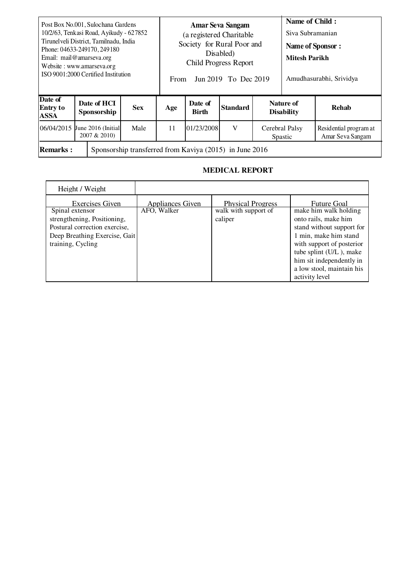| Post Box No.001, Sulochana Gardens<br>10/2/63, Tenkasi Road, Ayikudy - 627852<br>Tirunel veli District, Tamilnadu, India<br>Phone: 04633-249170, 249180<br>Email: mail@amarseva.org<br>Website: www.amarseva.org<br>ISO 9001:2000 Certified Institution |  |                            |            | <b>Amar Seva Sangam</b><br>(a registered Charitable<br>Society for Rural Poor and<br>Disabled)<br><b>Child Progress Report</b><br>Jun 2019 To Dec 2019<br>From |                         |                 |                                | <b>Name of Child:</b><br>Siva Subramanian<br>Name of Sponsor:<br><b>Mitesh Parikh</b><br>Amudhasurabhi, Srividya |                                            |
|---------------------------------------------------------------------------------------------------------------------------------------------------------------------------------------------------------------------------------------------------------|--|----------------------------|------------|----------------------------------------------------------------------------------------------------------------------------------------------------------------|-------------------------|-----------------|--------------------------------|------------------------------------------------------------------------------------------------------------------|--------------------------------------------|
| Date of<br><b>Entry to</b><br><b>ASSA</b>                                                                                                                                                                                                               |  | Date of HCI<br>Sponsorship | <b>Sex</b> | Age                                                                                                                                                            | Date of<br><b>Birth</b> | <b>Standard</b> | Nature of<br><b>Disability</b> |                                                                                                                  | <b>Rehab</b>                               |
| 06/04/2015 June 2016 (Initial                                                                                                                                                                                                                           |  | 2007 & 2010)               | Male       | 11                                                                                                                                                             | 01/23/2008              | V               | Cerebral Palsy<br>Spastic      |                                                                                                                  | Residential program at<br>Amar Seva Sangam |
| Sponsorship transferred from Kaviya (2015) in June 2016<br><b>Remarks:</b>                                                                                                                                                                              |  |                            |            |                                                                                                                                                                |                         |                 |                                |                                                                                                                  |                                            |

## **MEDICAL REPORT**

| Height / Weight               |                  |                          |                           |
|-------------------------------|------------------|--------------------------|---------------------------|
| <b>Exercises Given</b>        | Appliances Given | <b>Physical Progress</b> | <b>Future Goal</b>        |
| Spinal extensor               | AFO, Walker      | walk with support of     | make him walk holding     |
| strengthening, Positioning,   |                  | caliper                  | onto rails, make him      |
| Postural correction exercise, |                  |                          | stand without support for |
| Deep Breathing Exercise, Gait |                  |                          | 1 min, make him stand     |
| training, Cycling             |                  |                          | with support of posterior |
|                               |                  |                          | tube splint (U/L), make   |
|                               |                  |                          | him sit independently in  |
|                               |                  |                          | a low stool, maintain his |
|                               |                  |                          | activity level            |